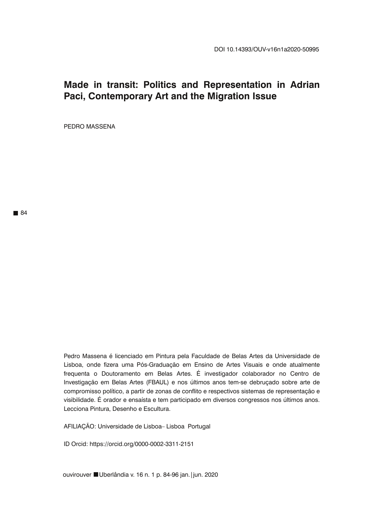# **Made in transit: Politics and Representation in Adrian Paci, Contemporary Art and the Migration Issue**

PEDRO MASSENA

Pedro Massena é licenciado em Pintura pela Faculdade de Belas Artes da Universidade de Lisboa, onde fizera uma Pós-Graduação em Ensino de Artes Visuais e onde atualmente frequenta o Doutoramento em Belas Artes. É investigador colaborador no Centro de Investigação em Belas Artes (FBAUL) e nos últimos anos tem-se debruçado sobre arte de compromisso político, a partir de zonas de conflito e respectivos sistemas de representação e visibilidade. É orador e ensaísta e tem participado em diversos congressos nos últimos anos. Lecciona Pintura, Desenho e Escultura.

AFILIAÇÃO: Universidade de Lisboa– Lisboa Portugal

ID Orcid: https://orcid.org/0000-0002-3311-2151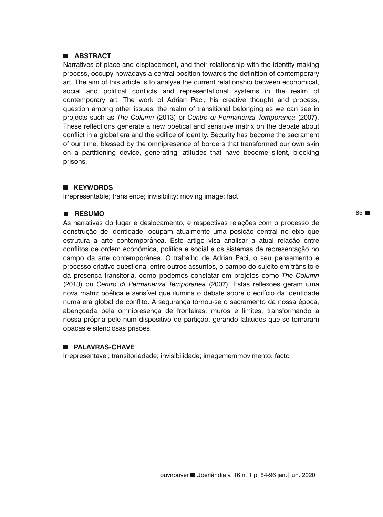## **ABSTRACT**

Narratives of place and displacement, and their relationship with the identity making process, occupy nowadays a central position towards the definition of contemporary art. The aim of this article is to analyse the current relationship between economical, social and political conflicts and representational systems in the realm of contemporary art. The work of Adrian Paci, his creative thought and process, question among other issues, the realm of transitional belonging as we can see in projects such as *The Column* (2013) or *Centro di Permanenza Temporanea* (2007). These reflections generate a new poetical and sensitive matrix on the debate about conflict in a global era and the edifice of identity. Security has become the sacrament of our time, blessed by the omnipresence of borders that transformed our own skin on a partitioning device, generating latitudes that have become silent, blocking prisons.

## **KEYWORDS**

Irrepresentable; transience; invisibility; moving image; fact

## **RESUMO**

As narrativas do lugar e deslocamento, e respectivas relações com o processo de construção de identidade, ocupam atualmente uma posição central no eixo que estrutura a arte contemporânea. Este artigo visa analisar a atual relação entre conflitos de ordem económica, política e social e os sistemas de representação no campo da arte contemporânea. O trabalho de Adrian Paci, o seu pensamento e processo criativo questiona, entre outros assuntos, o campo do sujeito em trânsito e da presença transitória, como podemos constatar em projetos como *The Column* (2013) ou *Centro di Permanenza Temporanea* (2007). Estas reflexões geram uma nova matriz poética e sensível que ilumina o debate sobre o edifício da identidade numa era global de conflito. A segurança tornou-se o sacramento da nossa época, abençoada pela omnipresença de fronteiras, muros e limites, transformando a nossa própria pele num dispositivo de partição, gerando latitudes que se tornaram opacas e silenciosas prisões.

# **PALAVRAS-CHAVE**

Irrepresentavel; transitoriedade; invisibilidade; imagememmovimento; facto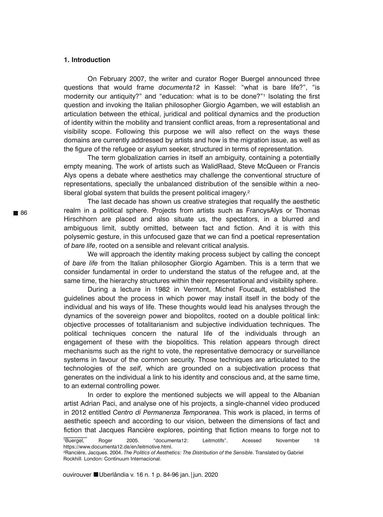#### **1. Introduction**

On February 2007, the writer and curator Roger Buergel announced three questions that would frame *documenta12* in Kassel: "what is bare life?", "is modernity our antiquity?" and "education: what is to be done?"<sup>1</sup> Isolating the first question and invoking the Italian philosopher Giorgio Agamben, we will establish an articulation between the ethical, juridical and political dynamics and the production of identity within the mobility and transient conflict areas, from a representational and visibility scope. Following this purpose we will also reflect on the ways these domains are currently addressed by artists and how is the migration issue, as well as the figure of the refugee or asylum seeker, structured in terms of representation.

The term globalization carries in itself an ambiguity, containing a potentially empty meaning. The work of artists such as WalidRaad, Steve McQueen or Francis Alys opens a debate where aesthetics may challenge the conventional structure of representations, specially the unbalanced distribution of the sensible within a neoliberal global system that builds the present political imagery.<sup>2</sup>

The last decade has shown us creative strategies that requalify the aesthetic realm in a political sphere. Projects from artists such as FrancysAlys or Thomas Hirschhorn are placed and also situate us, the spectators, in a blurred and ambiguous limit, subtly omitted, between fact and fiction. And it is with this polysemic gesture, in this unfocused gaze that we can find a poetical representation of *bare life*, rooted on a sensible and relevant critical analysis.

We will approach the identity making process subject by calling the concept of *bare life* from the Italian philosopher Giorgio Agamben. This is a term that we consider fundamental in order to understand the status of the refugee and, at the same time, the hierarchy structures within their representational and visibility sphere.

During a lecture in 1982 in Vermont, Michel Foucault, established the guidelines about the process in which power may install itself in the body of the individual and his ways of life. These thoughts would lead his analyses through the dynamics of the sovereign power and biopolitcs, rooted on a double political link: objective processes of totalitarianism and subjective individuation techniques. The political techniques concern the natural life of the individuals through an engagement of these with the biopolitics. This relation appears through direct mechanisms such as the right to vote, the representative democracy or surveillance systems in favour of the common security. Those techniques are articulated to the technologies of the *self*, which are grounded on a subjectivation process that generates on the individual a link to his identity and conscious and, at the same time, to an external controlling power.

In order to explore the mentioned subjects we will appeal to the Albanian artist Adrian Paci, and analyse one of his projects, a single-channel video produced in 2012 entitled *Centro di Permanenza Temporanea*. This work is placed, in terms of aesthetic speech and according to our vision, between the dimensions of fact and fiction that Jacques Rancière explores, pointing that fiction means to forge not to

<sup>1</sup>Buergel, Roger 2005. "documenta12: Leitmotifs". Acessed November 18 https://www.documenta12.de/en/leitmotive.html.

²Rancière, Jacques. 2004. *The Politics of Aesthetics: The Distribution of the Sensible*. Translated by Gabriel Rockhill. London: Continuum Internacional.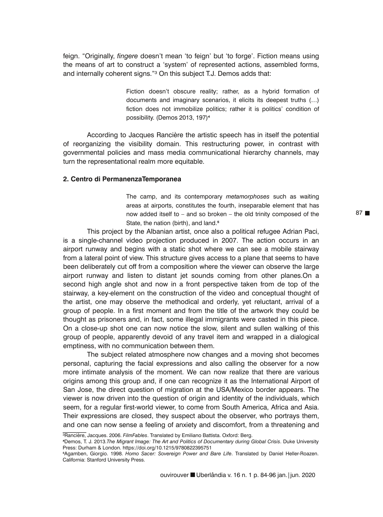feign. "Originally, *fingere* doesn't mean 'to feign' but 'to forge'. Fiction means using the means of art to construct a 'system' of represented actions, assembled forms, and internally coherent signs."<sup>3</sup> On this subject T.J. Demos adds that:

> Fiction doesn't obscure reality; rather, as a hybrid formation of documents and imaginary scenarios, it elicits its deepest truths (…) fiction does not immobilize politics; rather it is politics' condition of possibility. (Demos 2013, 197)

According to Jacques Rancière the artistic speech has in itself the potential of reorganizing the visibility domain. This restructuring power, in contrast with governmental policies and mass media communicational hierarchy channels, may turn the representational realm more equitable.

## **2. Centro di PermanenzaTemporanea**

The camp, and its contemporary *metamorphoses* such as waiting areas at airports, constitutes the fourth, inseparable element that has now added itself to – and so broken – the old trinity composed of the State, the nation (birth), and land.<sup>5</sup>

This project by the Albanian artist, once also a political refugee Adrian Paci, is a single-channel video projection produced in 2007. The action occurs in an airport runway and begins with a static shot where we can see a mobile stairway from a lateral point of view. This structure gives access to a plane that seems to have been deliberately cut off from a composition where the viewer can observe the large airport runway and listen to distant jet sounds coming from other planes.On a second high angle shot and now in a front perspective taken from de top of the stairway, a key-element on the construction of the video and conceptual thought of the artist, one may observe the methodical and orderly, yet reluctant, arrival of a group of people. In a first moment and from the title of the artwork they could be thought as prisoners and, in fact, some illegal immigrants were casted in this piece. On a close-up shot one can now notice the slow, silent and sullen walking of this group of people, apparently devoid of any travel item and wrapped in a dialogical emptiness, with no communication between them.

The subject related atmosphere now changes and a moving shot becomes personal, capturing the facial expressions and also calling the observer for a now more intimate analysis of the moment. We can now realize that there are various origins among this group and, if one can recognize it as the International Airport of San Jose, the direct question of migration at the USA/Mexico border appears. The viewer is now driven into the question of origin and identity of the individuals, which seem, for a regular first-world viewer, to come from South America, Africa and Asia. Their expressions are closed, they suspect about the observer, who portrays them, and one can now sense a feeling of anxiety and discomfort, from a threatening and

³Rancière, Jacques. 2006. *FilmFables*. Translated by Emiliano Battista. Oxford: Berg.

Demos, T. J. 2013.*The Migrant Image: The Art and Politics of Documentary during Global Crisis*. Duke University Press: Durham & London. https://doi.org/10.1215/9780822395751

Agamben, Giorgio. 1998. *Homo Sacer: Sovereign Power and Bare Life*. Translated by Daniel Heller-Roazen. California: Stanford University Press.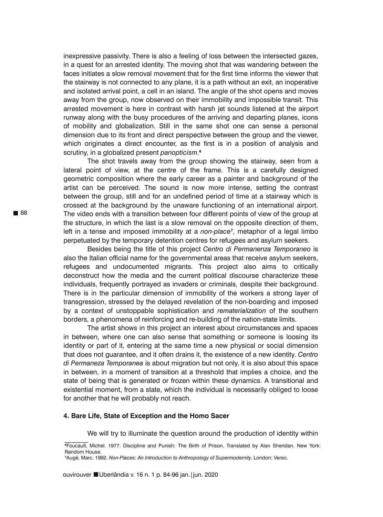inexpressive passivity. There is also a feeling of loss between the intersected gazes, in a quest for an arrested identity. The moving shot that was wandering between the faces initiates a slow removal movement that for the first time informs the viewer that the stairway is not connected to any plane, it is a path without an exit, an inoperative and isolated arrival point, a cell in an island. The angle of the shot opens and moves away from the group, now observed on their immobility and impossible transit. This arrested movement is here in contrast with harsh jet sounds listened at the airport runway along with the busy procedures of the arriving and departing planes, icons of mobility and globalization. Still in the same shot one can sense a personal dimension due to its front and direct perspective between the group and the viewer, which originates a direct encounter, as the first is in a position of analysis and scrutiny, in a globalized present *panopticism*.

The shot travels away from the group showing the stairway, seen from a lateral point of view, at the centre of the frame. This is a carefully designed geometric composition where the early career as a painter and background of the artist can be perceived. The sound is now more intense, setting the contrast between the group, still and for an undefined period of time at a stairway which is crossed at the background by the unaware functioning of an international airport. The video ends with a transition between four different points of view of the group at the structure, in which the last is a slow removal on the opposite direction of them, left in a tense and imposed immobility at a *non-place<sup>7</sup>*, metaphor of a legal limbo perpetuated by the temporary detention centres for refugees and asylum seekers.

Besides being the title of this project *Centro di Permanenza Temporaneo* is also the Italian official name for the governmental areas that receive asylum seekers, refugees and undocumented migrants. This project also aims to critically deconstruct how the media and the current political discourse characterize these individuals, frequently portrayed as invaders or criminals, despite their background. There is in the particular dimension of immobility of the workers a strong layer of transgression, stressed by the delayed revelation of the non-boarding and imposed by a context of unstoppable sophistication and *rematerialization* of the southern borders, a phenomena of reinforcing and re-building of the nation-state limits.

The artist shows in this project an interest about circumstances and spaces in between, where one can also sense that something or someone is loosing its identity or part of it, entering at the same time a new physical or social dimension that does not guarantee, and it often drains it, the existence of a new identity. *Centro di Permaneza Temporanea* is about migration but not only, it is also about this space in between, in a moment of transition at a threshold that implies a choice, and the state of being that is generated or frozen within these dynamics. A transitional and existential moment, from a state, which the individual is necessarily obliged to loose for another that he will probably not reach.

#### **4. Bare Life, State of Exception and the Homo Sacer**

We will try to illuminate the question around the production of identity within

Foucault, Michel. 1977. Discipline and Punish: The Birth of Prison. Translated by Alan Sheridan. New York: Random House.

Augé, Marc. 1992. *Non-Places: An Introduction to Anthropology of Supermodernity*. London: Verso.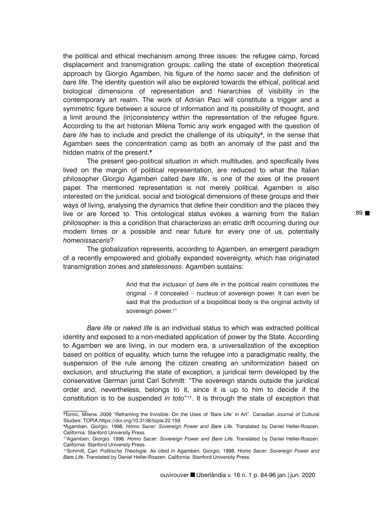the political and ethical mechanism among three issues: the refugee camp, forced displacement and transmigration groups; calling the state of exception theoretical approach by Giorgio Agamben, his figure of the *homo sacer* and the definition of *bare life*. The identity question will also be explored towards the ethical, political and biological dimensions of representation and hierarchies of visibility in the contemporary art realm. The work of Adrian Paci will constitute a trigger and a symmetric figure between a source of information and its possibility of thought, and a limit around the (in)consistency within the representation of the refugee figure. According to the art historian Milena Tomic any work engaged with the question of *bare life* has to include and predict the challenge of its ubiquity<sup>8</sup>, in the sense that Agamben sees the concentration camp as both an anomaly of the past and the hidden matrix of the present.<sup>9</sup>

The present geo-political situation in which multitudes, and specifically lives lived on the margin of political representation, are reduced to what the Italian philosopher Giorgio Agamben called *bare life*, is one of the axes of the present paper. The mentioned representation is not merely political, Agamben is also interested on the juridical, social and biological dimensions of these groups and their ways of living, analysing the dynamics that define their condition and the places they live or are forced to. This ontological status evokes a warning from the Italian philosopher: is this a condition that characterizes an erratic drift occurring during our modern times or a possible and near future for every one of us, potentially *homenissaceris*?

The globalization represents, according to Agamben, an emergent paradigm of a recently empowered and globally expanded sovereignty, which has originated transmigration zones and *statelessness*. Agamben sustains:

> And that the inclusion of *bare life* in the political realm constitutes the original – if concealed – nucleus of sovereign power. It can even be said that the production of a biopolitical body is the original activity of sovereign power.<sup>1°</sup>

*Bare life* or *naked life* is an individual status to which was extracted political identity and exposed to a non-mediated application of power by the State. According to Agamben we are living, in our modern era, a universalization of the exception based on politics of equality, which turns the refugee into a paradigmatic reality, the suspension of the rule among the citizen creating an uniformization based on exclusion, and structuring the state of exception, a juridical term developed by the conservative German jurist Carl Schmitt: "The sovereign stands outside the juridical order and, nevertheless, belongs to it, since it is up to him to decide if the constitution is to be suspended *in toto*"<sup>11</sup>. It is through the state of exception that

 $\mathcal{L}=\mathcal{L}$ 

<sup>&</sup>lt;sup>8</sup>Tomic, Milena. 2009 "Reframing the Invisible: On the Uses of 'Bare Life' in Art". Canadian Journal of Cultural Studies: TOPIA.https://doi.org/10.3138/topia.22.159

Agamben, Giorgio. 1998. *Homo Sacer: Sovereign Power and Bare Life*. Translated by Daniel Heller-Roazen. California: Stanford University Press.

<sup>&</sup>lt;sup>1º</sup>Agamben, Giorgio. 1998. *Homo Sacer: Sovereign Power and Bare Life*. Translated by Daniel Heller-Roazen. California: Stanford University Press.

¹¹Schmitt, Carl. *Politische Theologie*. As cited in Agamben, Giorgio. 1998. *Homo Sacer: Sovereign Power and Bare Life*. Translated by Daniel Heller-Roazen. California: Stanford University Press.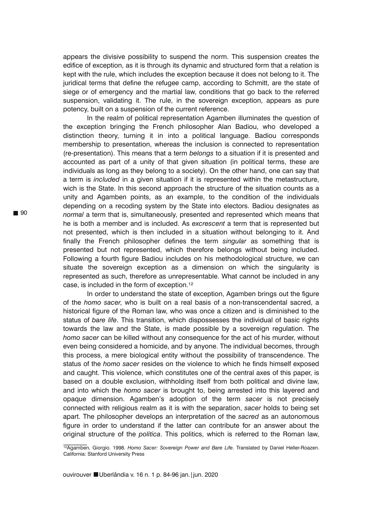appears the divisive possibility to suspend the norm. This suspension creates the edifice of exception, as it is through its dynamic and structured form that a relation is kept with the rule, which includes the exception because it does not belong to it. The juridical terms that define the refugee camp, according to Schmitt, are the state of siege or of emergency and the martial law, conditions that go back to the referred suspension, validating it. The rule, in the sovereign exception, appears as pure potency, built on a suspension of the current reference.

In the realm of political representation Agamben illuminates the question of the exception bringing the French philosopher Alan Badiou, who developed a distinction theory, turning it in into a political language. Badiou corresponds membership to presentation, whereas the inclusion is connected to representation (re-presentation). This means that a term *belongs* to a situation if it is presented and accounted as part of a unity of that given situation (in political terms, these are individuals as long as they belong to a society). On the other hand, one can say that a term is *included* in a given situation if it is represented within the metastructure, wich is the State. In this second approach the structure of the situation counts as a unity and Agamben points, as an example, to the condition of the individuals depending on a recoding system by the State into electors. Badiou designates as *normal* a term that is, simultaneously, presented and represented which means that he is both a member and is included. As *excrescent* a term that is represented but not presented, which is then included in a situation without belonging to it. And finally the French philosopher defines the term *singular* as something that is presented but not represented, which therefore belongs without being included. Following a fourth figure Badiou includes on his methodological structure, we can situate the sovereign exception as a dimension on which the singularity is represented as such, therefore as unrepresentable. What cannot be included in any case, is included in the form of exception.<sup>12</sup>

In order to understand the state of exception, Agamben brings out the figure of the *homo sacer*, who is built on a real basis of a non-transcendental sacred, a historical figure of the Roman law, who was once a citizen and is diminished to the status of *bare life*. This transition, which dispossesses the individual of basic rights towards the law and the State, is made possible by a sovereign regulation. The *homo sacer* can be killed without any consequence for the act of his murder, without even being considered a homicide, and by anyone. The individual becomes, through this process, a mere biological entity without the possibility of transcendence. The status of the *homo sacer* resides on the violence to which he finds himself exposed and caught. This violence, which constitutes one of the central axes of this paper, is based on a double exclusion, withholding itself from both political and divine law, and into which the *homo sacer* is brought to, being arrested into this layered and opaque dimension. Agamben's adoption of the term *sacer* is not precisely connected with religious realm as it is with the separation, *sacer* holds to being set apart. The philosopher develops an interpretation of the *sacred* as an autonomous figure in order to understand if the latter can contribute for an answer about the original structure of the *politica*. This politics, which is referred to the Roman law,

 $\mathcal{L}=\mathcal{L}$ 

¹²Agamben, Giorgio. 1998. *Homo Sacer: Sovereign Power and Bare Life*. Translated by Daniel Heller-Roazen. California: Stanford University Press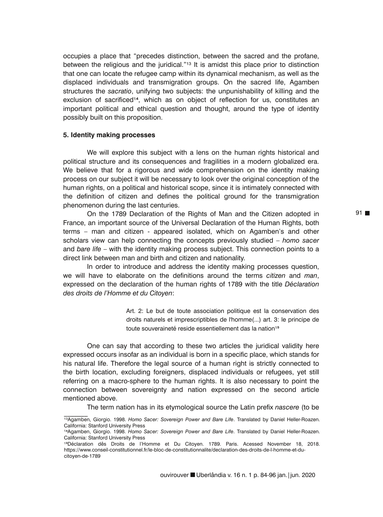occupies a place that "precedes distinction, between the sacred and the profane, between the religious and the juridical." $13$  It is amidst this place prior to distinction that one can locate the refugee camp within its dynamical mechanism, as well as the displaced individuals and transmigration groups. On the sacred life, Agamben structures the *sacratio*, unifying two subjects: the unpunishability of killing and the exclusion of sacrificed<sup>14</sup>, which as on object of reflection for us, constitutes an important political and ethical question and thought, around the type of identity possibly built on this proposition.

# **5. Identity making processes**

We will explore this subject with a lens on the human rights historical and political structure and its consequences and fragilities in a modern globalized era. We believe that for a rigorous and wide comprehension on the identity making process on our subject it will be necessary to look over the original conception of the human rights, on a political and historical scope, since it is intimately connected with the definition of citizen and defines the political ground for the transmigration phenomenon during the last centuries.

On the 1789 Declaration of the Rights of Man and the Citizen adopted in France, an important source of the Universal Declaration of the Human Rights, both terms – man and citizen - appeared isolated, which on Agamben's and other scholars view can help connecting the concepts previously studied – *homo sacer* and *bare life* – with the identity making process subject. This connection points to a direct link between man and birth and citizen and nationality.

In order to introduce and address the identity making processes question, we will have to elaborate on the definitions around the terms *citizen* and *man*, expressed on the declaration of the human rights of 1789 with the title *Déclaration des droits de l'Homme et du Citoyen*:

> Art. 2: Le but de toute association politique est la conservation des droits naturels et imprescriptibles de l'homme(...) art. 3: le principe de toute souveraineté reside essentiellement das la nation<sup>15</sup>

One can say that according to these two articles the juridical validity here expressed occurs insofar as an individual is born in a specific place, which stands for his natural life. Therefore the legal source of a human right is strictly connected to the birth location, excluding foreigners, displaced individuals or refugees, yet still referring on a macro-sphere to the human rights. It is also necessary to point the connection between sovereignty and nation expressed on the second article mentioned above.

The term nation has in its etymological source the Latin prefix *nascere* (to be  $\mathcal{L}$ 

¹³Agamben, Giorgio. 1998. *Homo Sacer: Sovereign Power and Bare Life*. Translated by Daniel Heller-Roazen. California: Stanford University Press

<sup>14</sup>Agamben, Giorgio. 1998. Homo Sacer: Sovereign Power and Bare Life. Translated by Daniel Heller-Roazen. California: Stanford University Press

<sup>&</sup>lt;sup>15</sup>Déclaration dês Droits de l'Homme et Du Citoyen. 1789. Paris. Acessed November 18, 2018. https://www.conseil-constitutionnel.fr/le-bloc-de-constitutionnalite/declaration-des-droits-de-l-homme-et-ducitoyen-de-1789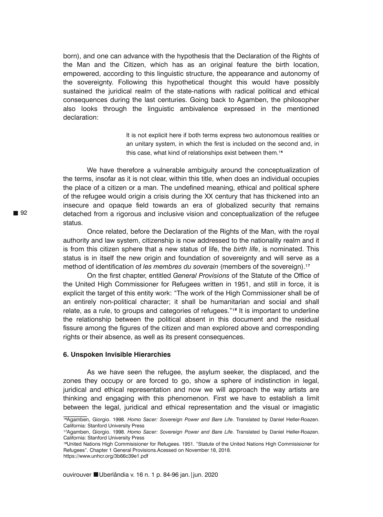born), and one can advance with the hypothesis that the Declaration of the Rights of the Man and the Citizen, which has as an original feature the birth location, empowered, according to this linguistic structure, the appearance and autonomy of the sovereignty. Following this hypothetical thought this would have possibly sustained the juridical realm of the state-nations with radical political and ethical consequences during the last centuries. Going back to Agamben, the philosopher also looks through the linguistic ambivalence expressed in the mentioned declaration:

> It is not explicit here if both terms express two autonomous realities or an unitary system, in which the first is included on the second and, in this case, what kind of relationships exist between them.<sup>16</sup>

We have therefore a vulnerable ambiguity around the conceptualization of the terms, insofar as it is not clear, within this title, when does an individual occupies the place of a citizen or a man. The undefined meaning, ethical and political sphere of the refugee would origin a crisis during the XX century that has thickened into an insecure and opaque field towards an era of globalized security that remains detached from a rigorous and inclusive vision and conceptualization of the refugee status.

Once related, before the Declaration of the Rights of the Man, with the royal authority and law system, citizenship is now addressed to the nationality realm and it is from this citizen sphere that a new status of life, the *birth life*, is nominated. This status is in itself the new origin and foundation of sovereignty and will serve as a method of identification of *les* membres du soverain (members of the sovereign).<sup>17</sup>

On the first chapter, entitled *General Provisions* of the Statute of the Office of the United High Commissioner for Refugees written in 1951, and still in force, it is explicit the target of this entity work: "The work of the High Commissioner shall be of an entirely non-political character; it shall be humanitarian and social and shall relate, as a rule, to groups and categories of refugees." $18$  It is important to underline the relationship between the political absent in this document and the residual fissure among the figures of the citizen and man explored above and corresponding rights or their absence, as well as its present consequences.

#### **6. Unspoken Invisible Hierarchies**

As we have seen the refugee, the asylum seeker, the displaced, and the zones they occupy or are forced to go, show a sphere of indistinction in legal, juridical and ethical representation and now we will approach the way artists are thinking and engaging with this phenomenon. First we have to establish a limit between the legal, juridical and ethical representation and the visual or imagistic

 $\mathcal{L}=\mathcal{L}$ 

<sup>&</sup>lt;sup>16</sup>Agamben, Giorgio. 1998. *Homo Sacer: Sovereign Power and Bare Life*. Translated by Daniel Heller-Roazen. California: Stanford University Press

<sup>&</sup>lt;sup>17</sup>Agamben, Giorgio. 1998. *Homo Sacer: Sovereign Power and Bare Life*. Translated by Daniel Heller-Roazen. California: Stanford University Press

<sup>&</sup>lt;sup>18</sup>United Nations High Commisisioner for Refugees. 1951. "Statute of the United Nations High Commisisioner for Refugees". Chapter 1 General Provisions.Acessed on November 18, 2018.

https://www.unhcr.org/3b66c39e1.pdf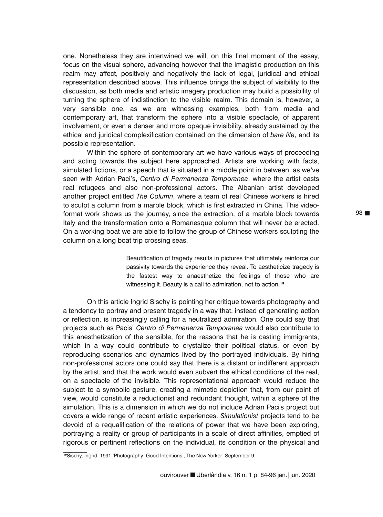one. Nonetheless they are intertwined we will, on this final moment of the essay, focus on the visual sphere, advancing however that the imagistic production on this realm may affect, positively and negatively the lack of legal, juridical and ethical representation described above. This influence brings the subject of visibility to the discussion, as both media and artistic imagery production may build a possibility of turning the sphere of indistinction to the visible realm. This domain is, however, a very sensible one, as we are witnessing examples, both from media and contemporary art, that transform the sphere into a visible spectacle, of apparent involvement, or even a denser and more opaque invisibility, already sustained by the ethical and juridical complexification contained on the dimension of *bare life*, and its possible representation.

Within the sphere of contemporary art we have various ways of proceeding and acting towards the subject here approached. Artists are working with facts, simulated fictions, or a speech that is situated in a middle point in between, as we've seen with Adrian Paci's, *Centro di Permanenza Temporanea*, where the artist casts real refugees and also non-professional actors. The Albanian artist developed another project entitled *The Column*, where a team of real Chinese workers is hired to sculpt a column from a marble block, which is first extracted in China. This videoformat work shows us the journey, since the extraction, of a marble block towards Italy and the transformation onto a Romanesque column that will never be erected. On a working boat we are able to follow the group of Chinese workers sculpting the column on a long boat trip crossing seas.

> Beautification of tragedy results in pictures that ultimately reinforce our passivity towards the experience they reveal. To aestheticize tragedy is the fastest way to anaesthetize the feelings of those who are witnessing it. Beauty is a call to admiration, not to action.<sup>19</sup>

On this article Ingrid Sischy is pointing her critique towards photography and a tendency to portray and present tragedy in a way that, instead of generating action or reflection, is increasingly calling for a neutralized admiration. One could say that projects such as Pacis' *Centro di Permanenza Temporanea* would also contribute to this anesthetization of the sensible, for the reasons that he is casting immigrants, which in a way could contribute to crystalize their political status, or even by reproducing scenarios and dynamics lived by the portrayed individuals. By hiring non-professional actors one could say that there is a distant or indifferent approach by the artist, and that the work would even subvert the ethical conditions of the real, on a spectacle of the invisible. This representational approach would reduce the subject to a symbolic gesture, creating a mimetic depiction that, from our point of view, would constitute a reductionist and redundant thought, within a sphere of the simulation. This is a dimension in which we do not include Adrian Paci's project but covers a wide range of recent artistic experiences. *Simulationist* projects tend to be devoid of a requalification of the relations of power that we have been exploring, portraying a reality or group of participants in a scale of direct affinities, emptied of rigorous or pertinent reflections on the individual, its condition or the physical and  $\frac{1}{2}$ 

<sup>19</sup>Sischy, Ingrid. 1991 'Photography: Good Intentions', The New Yorker: September 9.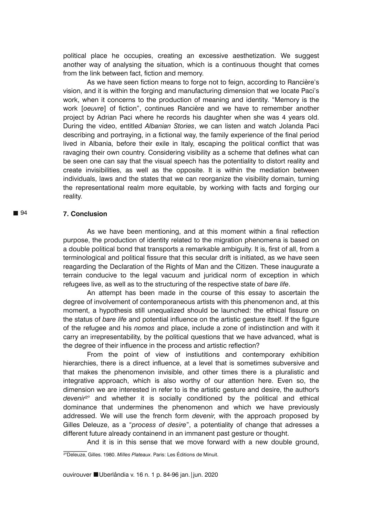political place he occupies, creating an excessive aesthetization. We suggest another way of analysing the situation, which is a continuous thought that comes from the link between fact, fiction and memory.

As we have seen fiction means to forge not to feign, according to Rancière's vision, and it is within the forging and manufacturing dimension that we locate Paci's work, when it concerns to the production of meaning and identity. "Memory is the work [*oeuvre*] of fiction", continues Rancière and we have to remember another project by Adrian Paci where he records his daughter when she was 4 years old. During the video, entitled *Albanian Stories*, we can listen and watch Jolanda Paci describing and portraying, in a fictional way, the family experience of the final period lived in Albania, before their exile in Italy, escaping the political conflict that was ravaging their own country. Considering visibility as a scheme that defines what can be seen one can say that the visual speech has the potentiality to distort reality and create invisibilities, as well as the opposite. It is within the mediation between individuals, laws and the states that we can reorganize the visibility domain, turning the representational realm more equitable, by working with facts and forging our reality.

## **7. Conclusion**

As we have been mentioning, and at this moment within a final reflection purpose, the production of identity related to the migration phenomena is based on a double political bond that transports a remarkable ambiguity. It is, first of all, from a terminological and political fissure that this secular drift is initiated, as we have seen reagarding the Declaration of the Rights of Man and the Citizen. These inaugurate a terrain conducive to the legal vacuum and juridical norm of exception in which refugees live, as well as to the structuring of the respective state of *bare life*.

An attempt has been made in the course of this essay to ascertain the degree of involvement of contemporaneous artists with this phenomenon and, at this moment, a hypothesis still unequalized should be launched: the ethical fissure on the status of *bare life* and potential influence on the artistic gesture itself. If the figure of the refugee and his *nomos* and place, include a zone of indistinction and with it carry an irrepresentability, by the political questions that we have advanced, what is the degree of their influence in the process and artistic reflection?

From the point of view of instiutitions and contemporary exhibition hierarchies, there is a direct influence, at a level that is sometimes subversive and that makes the phenomenon invisible, and other times there is a pluralistic and integrative approach, which is also worthy of our attention here. Even so, the dimension we are interested in refer to is the artistic gesture and desire, the author's *devenir*²° and whether it is socially conditioned by the political and ethical dominance that undermines the phenomenon and which we have previously addressed. We will use the french form *devenir*, with the approach proposed by Gilles Deleuze, as a "*process of desire*", a potentiality of change that adresses a different future already containend in an immanent past gesture or thought.

And it is in this sense that we move forward with a new double ground,

²°Deleuze, Gilles. 1980. *Milles Plateaux*. Paris: Les Éditions de Minuit.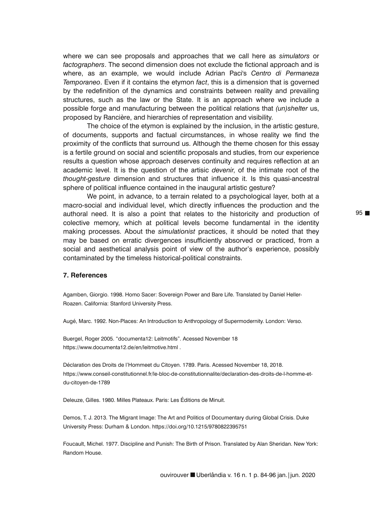where we can see proposals and approaches that we call here as *simulators* or *factographers*. The second dimension does not exclude the fictional approach and is where, as an example, we would include Adrian Paci's *Centro di Permaneza Temporaneo*. Even if it contains the etymon *fact*, this is a dimension that is governed by the redefinition of the dynamics and constraints between reality and prevailing structures, such as the law or the State. It is an approach where we include a possible forge and manufacturing between the political relations that *(un)shelter* us, proposed by Rancière, and hierarchies of representation and visibility.

The choice of the etymon is explained by the inclusion, in the artistic gesture, of documents, supports and factual circumstances, in whose reality we find the proximity of the conflicts that surround us. Although the theme chosen for this essay is a fertile ground on social and scientific proposals and studies, from our experience results a question whose approach deserves continuity and requires reflection at an academic level. It is the question of the artisic *devenir*, of the intimate root of the *thought-gesture* dimension and structures that influence it. Is this quasi-ancestral sphere of political influence contained in the inaugural artistic gesture?

We point, in advance, to a terrain related to a psychological layer, both at a macro-social and individual level, which directly influences the production and the authoral need. It is also a point that relates to the historicity and production of colective memory, which at political levels become fundamental in the identity making processes. About the *simulationist* practices, it should be noted that they may be based on erratic divergences insufficiently absorved or practiced, from a social and aesthetical analysis point of view of the author's experience, possibly contaminated by the timeless historical-political constraints.

#### **7. References**

Agamben, Giorgio. 1998. Homo Sacer: Sovereign Power and Bare Life. Translated by Daniel Heller-Roazen. California: Stanford University Press.

Augé, Marc. 1992. Non-Places: An Introduction to Anthropology of Supermodernity. London: Verso.

Buergel, Roger 2005. "documenta12: Leitmotifs". Acessed November 18 https://www.documenta12.de/en/leitmotive.html .

Déclaration des Droits de l'Hommeet du Citoyen. 1789. Paris. Acessed November 18, 2018. https://www.conseil-constitutionnel.fr/le-bloc-de-constitutionnalite/declaration-des-droits-de-l-homme-etdu-citoyen-de-1789

Deleuze, Gilles. 1980. Milles Plateaux. Paris: Les Éditions de Minuit.

Demos, T. J. 2013. The Migrant Image: The Art and Politics of Documentary during Global Crisis. Duke University Press: Durham & London. https://doi.org/10.1215/9780822395751

Foucault, Michel. 1977. Discipline and Punish: The Birth of Prison. Translated by Alan Sheridan. New York: Random House.